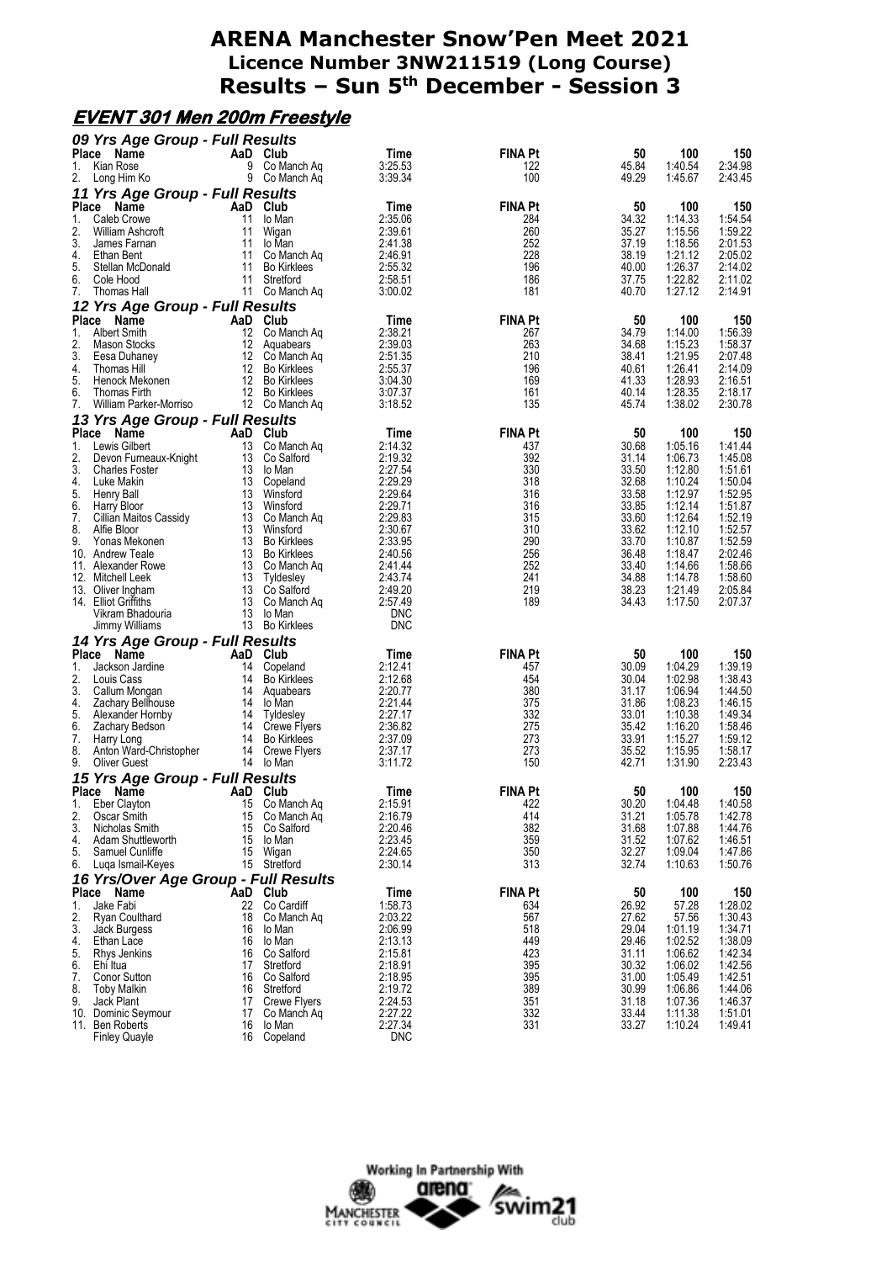#### **EVENT 301 Men 200m Freestyle**

|          | 09 Yrs Age Group - Full Results               |                                 |                                   |                       |                |                |                    |                    |
|----------|-----------------------------------------------|---------------------------------|-----------------------------------|-----------------------|----------------|----------------|--------------------|--------------------|
| Place    | Name                                          |                                 | AaD Club                          | Time                  | <b>FINA Pt</b> | 50             | 100                | 150                |
| 1.       | Kian Rose                                     | 9                               | Co Manch Ag                       | 3:25.53               | 122            | 45.84          | 1:40.54            | 2:34.98            |
| 2.       | Long Him Ko                                   |                                 | 9 Co Manch Aq                     | 3:39.34               | 100            | 49.29          | 1:45.67            | 2:43.45            |
|          | 11 Yrs Age Group - Full Results               |                                 |                                   |                       |                |                |                    |                    |
|          | Place Name                                    |                                 | AaD Club                          | Time                  | <b>FINA Pt</b> | 50             | 100                | 150                |
| 1.       | Caleb Crowe                                   | 11                              | lo Man                            | 2:35.06               | 284            | 34.32          | 1:14.33            | 1:54.54            |
| 2.       | William Ashcroft                              | 11                              | Wigan                             | 2:39.61               | 260            | 35.27          | 1:15.56            | 1:59.22            |
| 3.       | James Farnan                                  | 11                              | lo Man                            | 2:41.38               | 252            | 37.19          | 1:18.56            | 2:01.53            |
| 4.<br>5. | Ethan Bent<br>Stellan McDonald                | 11<br>11                        | Co Manch Ag<br><b>Bo Kirklees</b> | 2:46.91<br>2:55.32    | 228<br>196     | 38.19<br>40.00 | 1:21.12<br>1:26.37 | 2:05.02<br>2:14.02 |
| 6.       | Cole Hood                                     | 11                              | Stretford                         | 2:58.51               | 186            | 37.75          | 1:22.82            | 2:11.02            |
| 7.       | Thomas Hall                                   |                                 | 11 Co Manch Ag                    | 3:00.02               | 181            | 40.70          | 1:27.12            | 2:14.91            |
|          |                                               |                                 |                                   |                       |                |                |                    |                    |
|          | 12 Yrs Age Group - Full Results<br>Place Name | AaD                             | Club                              | Time                  | <b>FINA Pt</b> | 50             | 100                | 150                |
| 1.       | <b>Albert Smith</b>                           | 12                              | Co Manch Ag                       | 2:38.21               | 267            | 34.79          | 1:14.00            | 1:56.39            |
| 2.       | Mason Stocks                                  | 12                              | Aquabears                         | 2:39.03               | 263            | 34.68          | 1:15.23            | 1:58.37            |
| 3.       | Eesa Duhaney                                  | 12                              | Co Manch Ag                       | 2:51.35               | 210            | 38.41          | 1:21.95            | 2:07.48            |
| 4.       | Thomas Hill                                   | 12                              | <b>Bo Kirklees</b>                | 2:55.37               | 196            | 40.61          | 1:26.41            | 2:14.09            |
| 5.       | Henock Mekonen                                | 12                              | <b>Bo Kirklees</b>                | 3:04.30               | 169            | 41.33          | 1:28.93            | 2:16.51            |
| 6.       | Thomas Firth                                  |                                 | 12 Bo Kirklees                    | 3:07.37               | 161            | 40.14          | 1:28.35            | 2:18.17            |
| 7.       | William Parker-Morriso                        |                                 | 12 Co Manch Ag                    | 3:18.52               | 135            | 45.74          | 1:38.02            | 2:30.78            |
|          | 13 Yrs Age Group - Full Results               |                                 |                                   |                       |                |                |                    |                    |
|          | Place Name                                    |                                 | AaD Club                          | Time                  | <b>FINA Pt</b> | 50             | 100                | 150                |
| 1.       | Lewis Gilbert                                 | 13                              | Co Manch Ag                       | 2:14.32               | 437            | 30.68          | 1:05.16            | 1:41.44            |
| 2.       | Devon Furneaux-Knight                         | 13                              | Co Salford                        | 2:19.32               | 392            | 31.14          | 1:06.73            | 1:45.08            |
| 3.       | <b>Charles Foster</b>                         | 13                              | lo Man                            | 2:27.54               | 330            | 33.50          | 1:12.80            | 1:51.61            |
| 4.       | Luke Makin                                    | 13                              | Copeland                          | 2:29.29               | 318            | 32.68          | 1:10.24            | 1:50.04            |
| 5.       | Henry Ball                                    | 13                              | Winsford                          | 2:29.64               | 316            | 33.58          | 1:12.97            | 1:52.95            |
| 6.       | Harry Bloor                                   | 13                              | Winsford                          | 2:29.71               | 316            | 33.85          | 1:12.14            | 1:51.87            |
| 7.       | Cillian Maitos Cassidy                        | 13                              | Co Manch Ag                       | 2:29.83               | 315            | 33.60          | 1:12.64            | 1:52.19            |
| 8.       | Alfie Bloor                                   | 13                              | Winsford                          | 2:30.67               | 310            | 33.62          | 1:12.10            | 1:52.57            |
| 9.       | Yonas Mekonen                                 | 13                              | <b>Bo Kirklees</b>                | 2:33.95               | 290            | 33.70          | 1:10.87            | 1:52.59            |
|          | 10. Andrew Teale                              |                                 | 13 Bo Kirklees                    | 2:40.56               | 256            | 36.48          | 1:18.47            | 2:02.46            |
|          | 11. Alexander Rowe<br>12. Mitchell Leek       | 13                              | Co Manch Aq<br>13 Tyldesley       | 2:41.44<br>2:43.74    | 252<br>241     | 33.40<br>34.88 | 1:14.66<br>1:14.78 | 1:58.66<br>1:58.60 |
|          | 13. Oliver Ingham                             | 13                              | Co Saltord                        | 2:49.20               | 219            | 38.23          | 1:21.49            | 2:05.84            |
|          | 14. Elliot Griffiths                          | 13                              | Co Manch Ag                       | 2:57.49               | 189            | 34.43          | 1:17.50            | 2:07.37            |
|          | Vikram Bhadouria                              |                                 | 13 lo Man                         | <b>DNC</b>            |                |                |                    |                    |
|          | Jimmy Williams                                |                                 | 13 Bo Kirklees                    | <b>DNC</b>            |                |                |                    |                    |
|          | 14 Yrs Age Group - Full Results               |                                 |                                   |                       |                |                |                    |                    |
|          | Place Name                                    | AaD                             | Club                              | Time                  | <b>FINA Pt</b> | 50             | 100                | 150                |
| 1.       | Jackson Jardine                               | 14                              | Copeland                          | 2:12.41               | 457            | 30.09          | 1:04.29            | 1:39.19            |
| 2.       | Louis Cass                                    | 14                              | <b>Bo Kirklees</b>                | 2:12.68               | 454            | 30.04          | 1:02.98            | 1:38.43            |
| 3.       | Callum Mongan                                 | 14                              | Aquabears                         | 2:20.77               | 380            | 31.17          | 1:06.94            | 1:44.50            |
| 4.       | Zachary Bellhouse                             | 14                              | lo Man                            | 2:21.44               | 375            | 31.86          | 1:08.23            | 1:46.15            |
| 5.       | Alexander Hornby                              | 14                              | Tyldesley                         | 2:27.17               | 332            | 33.01          | 1:10.38            | 1:49.34            |
| 6.       | Zachary Bedson                                |                                 | 14 Crewe Flyers                   | 2:36.82               | 275            | 35.42          | 1:16.20            | 1:58.46            |
| 7.       | Harry Long                                    | 14                              | <b>Bo Kirklees</b>                | 2:37.09               | 273            | 33.91          | 1:15.27            | 1:59.12            |
| 8.       | Anton Ward-Christopher                        |                                 | 14 Crewe Flyers                   | 2:37.17               | 273<br>150     | 35.52          | 1:15.95            | 1:58.17            |
| 9.       | <b>Oliver Guest</b>                           |                                 | 14 lo Man                         | 3:11.72               |                |                |                    |                    |
|          |                                               |                                 |                                   |                       |                | 42.71          | 1:31.90            | 2:23.43            |
| Place    |                                               | 15 Yrs Age Group - Full Results |                                   |                       |                |                |                    |                    |
|          | Name                                          | AaD                             | Club                              | Time                  | <b>FINA Pt</b> | 50             | 100                | 150                |
| 1.       | Eber Clayton                                  |                                 | 15 Co Manch Aq                    | 2:15.91               | 422            | 30.20          | 1:04.48            | 1:40.58            |
| 2.       | Oscar Smith                                   | 15                              | Co Manch Aq                       | 2:16.79               | 414            | 31.21          | 1:05.78            | 1:42.78            |
| 3.       | Nicholas Smith                                | 15                              | Co Salford                        | 2:20.46               | 382            | 31.68          | 1:07.88            | 1:44.76            |
| 4.       | Adam Shuttleworth                             | 15                              | lo Man                            | 2:23.45               | 359            | 31.52          | 1:07.62            | 1:46.51            |
| 5.       | Samuel Cunliffe                               |                                 | 15 Wigan                          | 2:24.65               | 350            | 32.27          | 1:09.04            | 1:47.86            |
| 6.       | Luqa Ismail-Keyes                             |                                 | 15 Stretford                      | 2:30.14               | 313            | 32.74          | 1:10.63            | 1:50.76            |
|          | 16 Yrs/Over Age Group - Full Results          |                                 |                                   |                       |                |                |                    |                    |
|          | Place Name                                    |                                 | `AaD Club                         | Time                  | <b>FINA Pt</b> | 50             | 100                | 150                |
| 1.       | Jake Fabi                                     | 22                              | Co Cardiff                        | 1:58.73               | 634            | 26.92          | 57.28              | 1:28.02            |
| 2.       | <b>Ryan Coulthard</b>                         | 18                              | Co Manch Ag                       | 2:03.22               | 567            | 27.62          | 57.56              | 1:30.43            |
| 3.       | Jack Burgess                                  | 16                              | lo Man                            | 2:06.99               | 518            | 29.04          | 1:01.19            | 1:34.71            |
| 4.<br>5. | Ethan Lace                                    | 16<br>16                        | lo Man<br>Co Salford              | 2:13.13<br>2:15.81    | 449<br>423     | 29.46          | 1:02.52<br>1:06.62 | 1:38.09            |
| 6.       | Rhys Jenkins<br>Ehi Itua                      | 17                              | Stretford                         | 2:18.91               | 395            | 31.11<br>30.32 | 1:06.02            | 1:42.34<br>1:42.56 |
| 7.       | Conor Sutton                                  | 16                              | Co Salford                        |                       | 395            | 31.00          | 1:05.49            | 1:42.51            |
| 8.       | <b>Toby Malkin</b>                            | 16                              | Stretford                         | 2:18.95<br>2:19.72    | 389            | 30.99          | 1:06.86            | 1:44.06            |
| 9.       | Jack Plant                                    | 17                              | Crewe Flyers                      | 2:24.53               | 351            | 31.18          | 1:07.36            | 1:46.37            |
|          | 10. Dominic Seymour                           | 17                              | Co Manch Aq                       | 2:27.22               | 332            | 33.44          | 1:11.38            | 1:51.01            |
|          | 11. Ben Roberts<br><b>Finley Quayle</b>       | 16                              | lo Man<br>16 Copeland             | 2:27.34<br><b>DNC</b> | 331            | 33.27          | 1:10.24            | 1:49.41            |

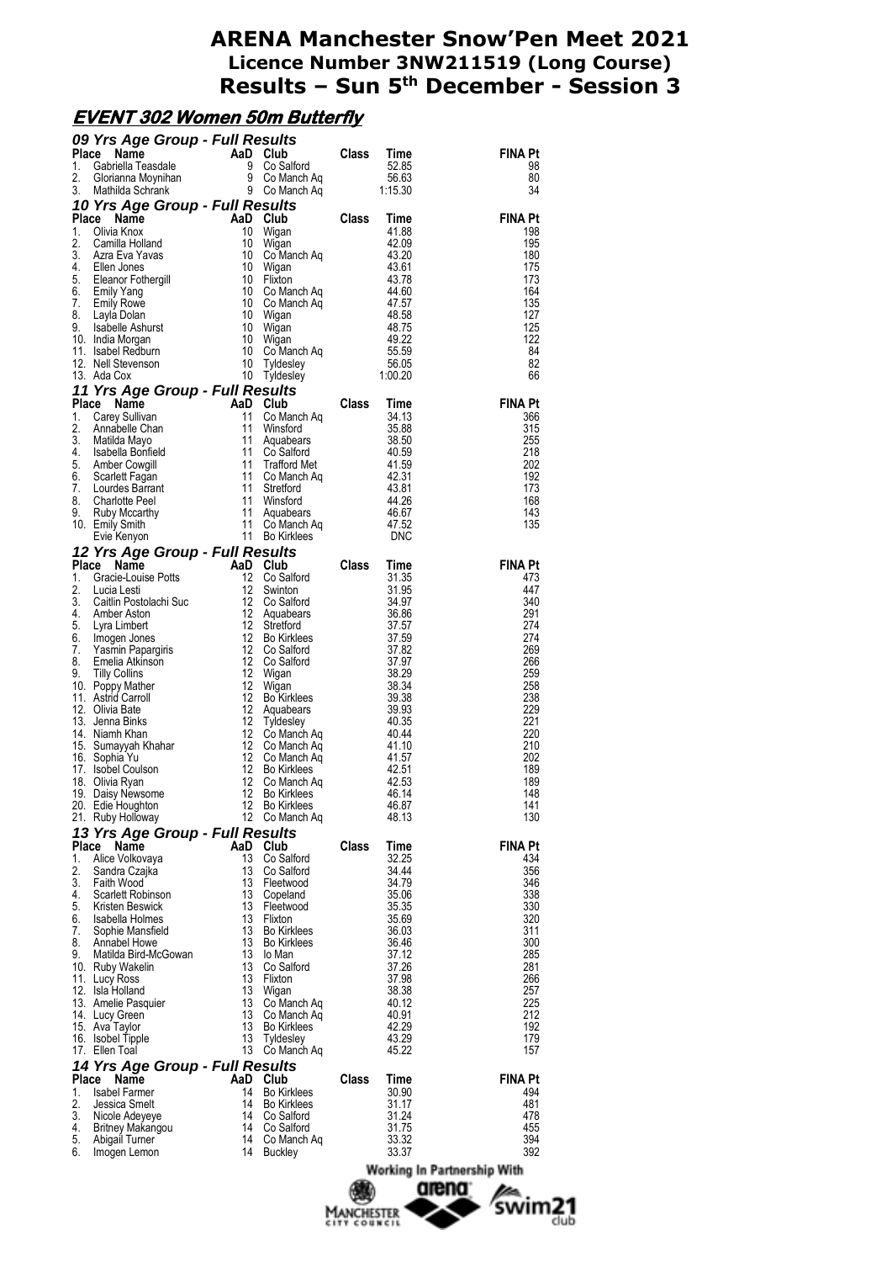# **EVENT 302 Women 50m Butterfly**

|          | 09 Yrs Age Group - Full Results                                                                                                                                                                                                                      |          |                            |       |                |                             |
|----------|------------------------------------------------------------------------------------------------------------------------------------------------------------------------------------------------------------------------------------------------------|----------|----------------------------|-------|----------------|-----------------------------|
|          | <b>09 Yrs Age Group - Full Results<br/> Place Name AaD Club Class Time</b><br>1. Gabriella Teasdale 9 Co Salford 52.85<br>2. Glorianna Moynihan 9 Co Manch Aq 56.63<br>3. Mathilda Schrank – 2. P. Co Manch Aq 1:15.30                               |          |                            |       |                | <b>FINA Pt</b>              |
|          |                                                                                                                                                                                                                                                      |          |                            |       |                | 98<br>80                    |
|          |                                                                                                                                                                                                                                                      |          |                            |       |                | 34                          |
|          |                                                                                                                                                                                                                                                      |          |                            |       |                |                             |
|          | 3. Mathilda Schrank 9 Co Manch Aq<br>10 Yrs Age Group - Full Results<br>Place Name AaD Club Class Time<br>1. Olivia Knox 10 Wigan<br>3. Azra Eva Yavas 10 Co Manch Aq<br>3. Azra Eva Yavas 10 Co Manch Aq<br>4. Silen Jones 10 Wigan<br>5.           |          |                            |       |                | <b>FINA Pt</b>              |
|          |                                                                                                                                                                                                                                                      |          |                            |       |                | 198<br>195                  |
|          |                                                                                                                                                                                                                                                      |          |                            |       |                | 180                         |
|          |                                                                                                                                                                                                                                                      |          |                            |       |                | 175                         |
|          |                                                                                                                                                                                                                                                      |          |                            |       |                | 173<br>164                  |
|          |                                                                                                                                                                                                                                                      |          |                            |       |                | 135                         |
|          |                                                                                                                                                                                                                                                      |          |                            |       |                | 127                         |
|          |                                                                                                                                                                                                                                                      |          |                            |       |                | 125<br>122                  |
|          |                                                                                                                                                                                                                                                      |          |                            |       |                | - 84                        |
|          |                                                                                                                                                                                                                                                      |          |                            |       |                | 82                          |
|          |                                                                                                                                                                                                                                                      |          |                            |       |                | 66                          |
|          | 13. Ada Cox 10 Tyidesiey<br>11 Yrs Age Group - Full Results<br>Place Name AaD Club Class Time<br>1. Carey Sullivan 11 Co Manch Aq<br>2. Annabelle Chan 11 Winsford 33.58<br>11 Augubears 35.58<br>4. Isabella Bonfield 11 Co Salford 40.5            |          |                            |       |                | <b>FINA Pt</b>              |
|          |                                                                                                                                                                                                                                                      |          |                            |       |                | 366                         |
|          |                                                                                                                                                                                                                                                      |          |                            |       |                | 315                         |
|          |                                                                                                                                                                                                                                                      |          |                            |       |                | 255<br>218                  |
|          |                                                                                                                                                                                                                                                      |          |                            |       |                | 202                         |
|          |                                                                                                                                                                                                                                                      |          |                            |       |                | 192                         |
|          |                                                                                                                                                                                                                                                      |          |                            |       |                | 173<br>168                  |
|          |                                                                                                                                                                                                                                                      |          |                            |       |                | 143                         |
|          |                                                                                                                                                                                                                                                      |          |                            |       |                | 135                         |
|          |                                                                                                                                                                                                                                                      |          |                            |       |                |                             |
|          | Evie Kenyon<br>12 Yrs Age Group - Full Results<br>12 Co Saiford<br>1. Gracie-Louise Potts<br>12 Co Saiford<br>12 Co Saiford<br>12 Co Saiford<br>31.95<br>2. Lucia Lesti<br>12 Co Saiford<br>4. Anne Aston (12 Co Saiford<br>4. Saiftin Postolachi Su |          |                            |       |                | <b>FINA Pt</b>              |
|          |                                                                                                                                                                                                                                                      |          |                            |       |                | 473                         |
|          |                                                                                                                                                                                                                                                      |          |                            |       |                | 447                         |
|          |                                                                                                                                                                                                                                                      |          |                            |       |                | 340<br>291                  |
|          |                                                                                                                                                                                                                                                      |          |                            |       |                | 274                         |
|          |                                                                                                                                                                                                                                                      |          |                            |       |                | 274                         |
|          |                                                                                                                                                                                                                                                      |          |                            |       |                | 269<br>266                  |
|          |                                                                                                                                                                                                                                                      |          |                            |       |                | 259                         |
|          |                                                                                                                                                                                                                                                      |          |                            |       |                | 258                         |
|          |                                                                                                                                                                                                                                                      |          |                            |       |                | 238<br>229                  |
|          |                                                                                                                                                                                                                                                      |          |                            |       |                | 221                         |
|          |                                                                                                                                                                                                                                                      |          |                            |       |                | 220                         |
|          |                                                                                                                                                                                                                                                      |          |                            |       |                | 210<br>202                  |
|          |                                                                                                                                                                                                                                                      |          |                            |       |                | 189                         |
|          |                                                                                                                                                                                                                                                      |          |                            |       |                | 189                         |
|          | 20. Edie Houghton                                                                                                                                                                                                                                    | 12       | Bo Kirklees                |       | 46.87          | 148<br>141                  |
|          | 21. Ruby Holloway                                                                                                                                                                                                                                    |          | 12 Co Manch Aq             |       | 48.13          | 130                         |
|          | 13 Yrs Age Group - Full Results                                                                                                                                                                                                                      |          |                            |       |                |                             |
| Place    | Name                                                                                                                                                                                                                                                 | AaD Club |                            | Class | Time           | FINA Pt                     |
| 1.<br>2. | Alice Volkovaya<br>Sandra Czajka                                                                                                                                                                                                                     | 13<br>13 | Co Salford<br>Co Salford   |       | 32.25<br>34.44 | 434<br>356                  |
| 3.       | Faith Wood                                                                                                                                                                                                                                           | 13       | Fleetwood                  |       | 34.79          | 346                         |
| 4.       | Scarlett Robinson                                                                                                                                                                                                                                    | 13       | Copeland                   |       | 35.06          | 338                         |
| 5.       | Kristen Beswick<br>6. Isabella Holmes                                                                                                                                                                                                                | 13<br>13 | Fleetwood<br>Flixton       |       | 35.35<br>35.69 | 330<br>320                  |
| 7.       | Sophie Mansfield                                                                                                                                                                                                                                     | 13       | <b>Bo Kirklees</b>         |       | 36.03          | 311                         |
| 8.       | Annabel Howe                                                                                                                                                                                                                                         | 13       | <b>Bo Kirklees</b>         |       | 36.46          | 300                         |
| 9.       | Matilda Bird-McGowan<br>10. Ruby Wakelin                                                                                                                                                                                                             | 13<br>13 | lo Man<br>Co Salford       |       | 37.12<br>37.26 | 285<br>281                  |
|          | 11. Lucy Ross                                                                                                                                                                                                                                        | 13       | Flixton                    |       | 37.98          | 266                         |
|          | 12. Isla Holland                                                                                                                                                                                                                                     | 13       | Wigan                      |       | 38.38          | 257                         |
|          | 13. Amelie Pasquier<br>14. Lucy Green                                                                                                                                                                                                                | 13<br>13 | Co Manch Aq<br>Co Manch Aq |       | 40.12<br>40.91 | 225<br>212                  |
|          | 15. Ava Taylor                                                                                                                                                                                                                                       | 13       | <b>Bo Kirklees</b>         |       | 42.29          | 192                         |
|          | 16. Isobel Tipple                                                                                                                                                                                                                                    | 13       | Tyldesley                  |       | 43.29          | 179                         |
|          | 17. Ellen Toal                                                                                                                                                                                                                                       | 13       | Co Manch Ag                |       | 45.22          | 157                         |
| Place    | 14 Yrs Age Group - Full Results<br>Name                                                                                                                                                                                                              | AaD      | Club                       | Class | Time           | FINA Pt                     |
| 1.       | <b>Isabel Farmer</b>                                                                                                                                                                                                                                 | 14       | <b>Bo Kirklees</b>         |       | 30.90          | 494                         |
| 2.       | Jessica Smelt                                                                                                                                                                                                                                        | 14       | <b>Bo Kirklees</b>         |       | 31.17          | 481                         |
| 3.<br>4. | Nicole Adeyeye<br>Britney Makangou                                                                                                                                                                                                                   | 14<br>14 | Co Salford<br>Co Salford   |       | 31.24<br>31.75 | 478<br>455                  |
| 5.       | Abigail Turner                                                                                                                                                                                                                                       | 14       | Co Manch Ag                |       | 33.32          | 394                         |
| 6.       | Imogen Lemon                                                                                                                                                                                                                                         | 14       | <b>Buckley</b>             |       | 33.37          | 392                         |
|          |                                                                                                                                                                                                                                                      |          |                            |       |                | Working In Partnership With |
|          |                                                                                                                                                                                                                                                      |          |                            | 490.  |                | amana:                      |

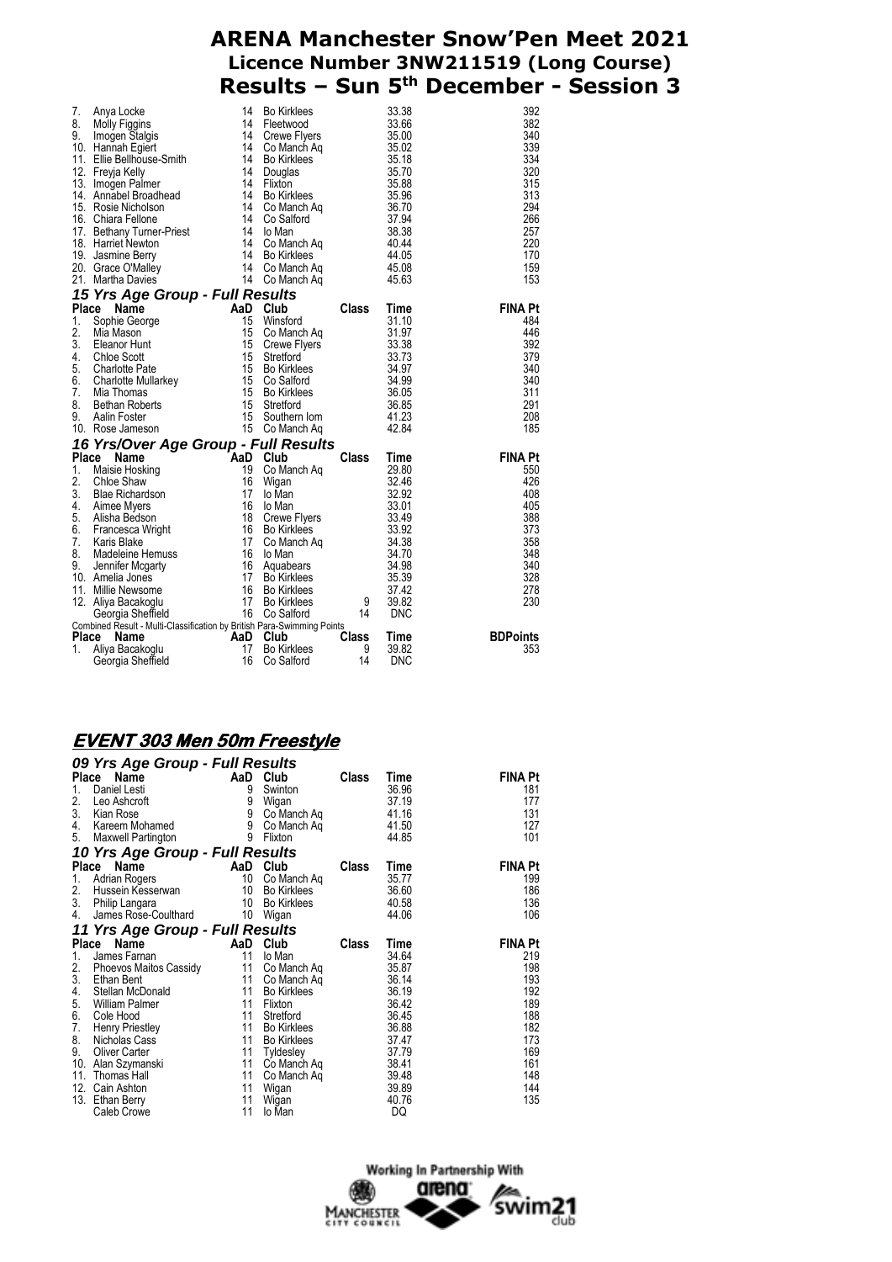| 7.<br>8.<br>9. | Anya Locke<br>Molly Figgins<br>Imogen Stalgis<br>10. Hannah Egiert<br>11. Ellie Bellhouse-Smith<br>12. Freyja Kelly 14<br>13. Imogen Palmer 14<br>13. Imogen Palmer<br>14. Annabel Broadhead 14<br>15. Rosie Nicholson 11<br>16. Chiara Fellone 11<br>17. Bethany Turner-Priest<br>17. Bethany Turner-Priest<br>18. Harriet Newton<br>19. Jasmine Berry<br>20. Grace O'Malley<br>21. Martha Davies<br>14 | 14<br>14<br>14 | <b>Bo Kirklees</b><br>Fleetwood<br>Crewe Flyers<br>Co Manch Aq<br>Bo Kirklees<br>Douglas<br>Flixton<br>Bo Kirklees<br>Co Manch Aq<br>Co Salford<br>lo Man<br>Co Manch Aq<br>Bo Kirklees<br>Co Manch Aq<br>14 Co Manch Aq |                 | 33.38<br>33.66<br>35.00<br>35.02<br>35.18<br>35.70<br>35.88<br>35.96<br>36.70<br>37.94<br>38.38<br>40.44<br>44.05<br>45.08<br>45.63 | 392<br>382<br>340<br>339<br>334<br>320<br>315<br>313<br>294<br>266<br>257<br>220<br>170<br>159<br>153 |
|----------------|----------------------------------------------------------------------------------------------------------------------------------------------------------------------------------------------------------------------------------------------------------------------------------------------------------------------------------------------------------------------------------------------------------|----------------|--------------------------------------------------------------------------------------------------------------------------------------------------------------------------------------------------------------------------|-----------------|-------------------------------------------------------------------------------------------------------------------------------------|-------------------------------------------------------------------------------------------------------|
|                | 15 Yrs Age Group - Full Results                                                                                                                                                                                                                                                                                                                                                                          |                |                                                                                                                                                                                                                          |                 |                                                                                                                                     |                                                                                                       |
| Place          | Find the contract $\begin{array}{r} 1600 \\ 15 \\ 15 \\ 15 \\ 15 \\ 16 \end{array}$<br>Name                                                                                                                                                                                                                                                                                                              |                | Club                                                                                                                                                                                                                     | Class           | Time                                                                                                                                | <b>FINA Pt</b>                                                                                        |
| 1.             | Sophie George                                                                                                                                                                                                                                                                                                                                                                                            |                | Winsford                                                                                                                                                                                                                 |                 | 31.10                                                                                                                               | 484                                                                                                   |
| 2.             | Mia Mason                                                                                                                                                                                                                                                                                                                                                                                                |                | Co Manch Ag                                                                                                                                                                                                              |                 | 31.97                                                                                                                               | 446                                                                                                   |
| 3.             | Eleanor Hunt                                                                                                                                                                                                                                                                                                                                                                                             |                | Crewe Flyers                                                                                                                                                                                                             |                 | 33.38                                                                                                                               | 392                                                                                                   |
| 4.<br>5.       | <b>Chloe Scott</b>                                                                                                                                                                                                                                                                                                                                                                                       | 15             | Stretford                                                                                                                                                                                                                |                 | 33.73<br>34.97                                                                                                                      | 379<br>340                                                                                            |
| 6.             |                                                                                                                                                                                                                                                                                                                                                                                                          |                |                                                                                                                                                                                                                          |                 | 34.99                                                                                                                               | 340                                                                                                   |
| 7.             |                                                                                                                                                                                                                                                                                                                                                                                                          |                |                                                                                                                                                                                                                          |                 | 36.05                                                                                                                               | 311                                                                                                   |
| 8.             |                                                                                                                                                                                                                                                                                                                                                                                                          |                |                                                                                                                                                                                                                          |                 | 36.85                                                                                                                               | 291                                                                                                   |
| 9.             |                                                                                                                                                                                                                                                                                                                                                                                                          |                |                                                                                                                                                                                                                          |                 | 41.23                                                                                                                               | 208                                                                                                   |
|                | Charlotte Pate<br>Charlotte Mullarkey<br>Mia Thomas<br>Bethan Roberts<br>Aalin Foster<br>Press, Jameson<br>Charlotte Mullarkey<br>15 Co Manch Ag<br>15 Co Manch Ag<br>15 Co Manch Ag<br>15 Co Manch Ag<br>15 Co Manch Ag<br>15 Co Manch Ag<br>15 Co Manc<br>10. Rose Jameson                                                                                                                             |                |                                                                                                                                                                                                                          |                 | 42.84                                                                                                                               | 185                                                                                                   |
|                | 16 Yrs/Over Age Group - Full Results<br>15 Colv<br>15 Colv<br>16 Colv<br>19 Colv<br>19 Colv<br>2 Colv<br>2 Colv<br>2 Colv<br>2 Colv<br>2 Colv<br>2 Colv<br>3 Colv<br>3 Colv<br>3 Colv<br>3 Colv<br>3 Colv<br>3 Colv<br>3 Colv<br>3 Colv<br>3 Colv<br>3 Colv<br>3 Colv<br>3 Colv<br>3 Colv<br>3 Colv<br>3 Colv<br>3 Colv<br>3                                                                             |                |                                                                                                                                                                                                                          |                 |                                                                                                                                     |                                                                                                       |
|                | Place Name                                                                                                                                                                                                                                                                                                                                                                                               |                |                                                                                                                                                                                                                          | Class           | Time                                                                                                                                | <b>FINA Pt</b>                                                                                        |
| 1.             |                                                                                                                                                                                                                                                                                                                                                                                                          |                | Co Manch Ag                                                                                                                                                                                                              |                 | 29.80                                                                                                                               | 550                                                                                                   |
| 2.             |                                                                                                                                                                                                                                                                                                                                                                                                          |                |                                                                                                                                                                                                                          |                 | 32.46                                                                                                                               | 426                                                                                                   |
| 3.             |                                                                                                                                                                                                                                                                                                                                                                                                          |                | lo Man                                                                                                                                                                                                                   |                 | 32.92                                                                                                                               | 408                                                                                                   |
| 4.             |                                                                                                                                                                                                                                                                                                                                                                                                          |                | lo Man                                                                                                                                                                                                                   |                 | 33.01                                                                                                                               | 405                                                                                                   |
| 5.             | Alisha Bedson                                                                                                                                                                                                                                                                                                                                                                                            |                | Crewe Flyers                                                                                                                                                                                                             |                 | 33.49                                                                                                                               | 388                                                                                                   |
| 6.             | Francesca Wright<br>Keris Plake                                                                                                                                                                                                                                                                                                                                                                          |                | Bo Kirklees                                                                                                                                                                                                              |                 | 33.92                                                                                                                               | 373                                                                                                   |
| 7.             | Karis Blake                                                                                                                                                                                                                                                                                                                                                                                              | 17             | Co Manch Aq                                                                                                                                                                                                              |                 | 34.38                                                                                                                               | 358                                                                                                   |
| 8.             | Madeleine Hemuss 16                                                                                                                                                                                                                                                                                                                                                                                      |                | lo Man                                                                                                                                                                                                                   |                 | 34.70                                                                                                                               | 348                                                                                                   |
| 9.             | France 16<br>16 Aquabears<br>17 Bo Kirklees<br>Jennifer Mcgarty                                                                                                                                                                                                                                                                                                                                          |                |                                                                                                                                                                                                                          |                 | 34.98                                                                                                                               | 340                                                                                                   |
|                | 10. Amelia Jones<br>11. Millie Newsome                                                                                                                                                                                                                                                                                                                                                                   |                |                                                                                                                                                                                                                          |                 | 35.39<br>37.42                                                                                                                      | 328<br>278                                                                                            |
|                | 12. Aliya Bacakoglu                                                                                                                                                                                                                                                                                                                                                                                      |                |                                                                                                                                                                                                                          | 9               | 39.82                                                                                                                               | 230                                                                                                   |
|                | 16 Bo Kirklees<br>17 Bo Kirklees<br>16 Co Salford<br>Georgia Sheffield                                                                                                                                                                                                                                                                                                                                   |                | 16 Co Salford                                                                                                                                                                                                            | $\overline{14}$ | <b>DNC</b>                                                                                                                          |                                                                                                       |
|                | Combined Result - Multi-Classification by British Para-Swimming Points                                                                                                                                                                                                                                                                                                                                   |                |                                                                                                                                                                                                                          |                 |                                                                                                                                     |                                                                                                       |
| Place          | AaD<br>Name                                                                                                                                                                                                                                                                                                                                                                                              |                | Club                                                                                                                                                                                                                     | <b>Class</b>    | Time                                                                                                                                | <b>BDPoints</b>                                                                                       |
| 1.             | Aliya Bacakoglu                                                                                                                                                                                                                                                                                                                                                                                          | 17             | <b>Bo Kirklees</b>                                                                                                                                                                                                       | 9               | 39.82                                                                                                                               | 353                                                                                                   |
|                | Georgia Sheffield                                                                                                                                                                                                                                                                                                                                                                                        | 16             | Co Salford                                                                                                                                                                                                               | 14              | <b>DNC</b>                                                                                                                          |                                                                                                       |

#### **EVENT 303 Men 50m Freestyle**

| 09 Yrs Age Group - Full Results |          |                    |              |       |                |
|---------------------------------|----------|--------------------|--------------|-------|----------------|
| Name<br><b>Place</b>            |          | AaD Club           | <b>Class</b> | Time  | FINA Pt        |
| 1.<br>Daniel Lesti              | 9        | Swinton            |              | 36.96 | 181            |
| 2.<br>Leo Ashcroft              | 9        | Wigan              |              | 37.19 | 177            |
| 3.<br>Kian Rose                 | 9        | Co Manch Ag        |              | 41.16 | 131            |
| 4.<br>Kareem Mohamed            | 9        | Co Manch Aq        |              | 41.50 | 127            |
| 5.<br>Maxwell Partington        | 9        | Flixton            |              | 44.85 | 101            |
| 10 Yrs Age Group - Full Results |          |                    |              |       |                |
| Place Name                      |          | AaD Club           | <b>Class</b> | Time  | FINA Pt        |
| 1.<br>Adrian Rogers             | 10       | Co Manch Aq        |              | 35.77 | 199            |
| 2.<br>Hussein Kesserwan         | 10       | <b>Bo Kirklees</b> |              | 36.60 | 186            |
| 3.<br>Philip Langara            | 10       | <b>Bo Kirklees</b> |              | 40.58 | 136            |
| 4.<br>James Rose-Coulthard      | 10       | Wigan              |              | 44.06 | 106            |
| 11 Yrs Age Group - Full Results |          |                    |              |       |                |
| Place Name                      |          | AaD Club           | <b>Class</b> | Time  | <b>FINA Pt</b> |
| 1.<br>James Farnan              | 11       | lo Man             |              | 34.64 | 219            |
| 2.<br>Phoevos Maitos Cassidy    | 11       | Co Manch Ag        |              | 35.87 | 198            |
| 3.<br>Ethan Bent                | 11       | Co Manch Ag        |              | 36.14 | 193            |
| 4.<br>Stellan McDonald          | 11       | <b>Bo Kirklees</b> |              | 36.19 | 192            |
| 5.<br><b>William Palmer</b>     | 11       | Flixton            |              | 36.42 | 189            |
| 6.<br>Cole Hood                 | 11       | Stretford          |              | 36.45 | 188            |
| 7.<br>Henry Priestley           | 11       | <b>Bo Kirklees</b> |              | 36.88 | 182            |
| 8.<br>Nicholas Cass             | 11       | <b>Bo Kirklees</b> |              | 37.47 | 173            |
| 9.<br><b>Oliver Carter</b>      | 11       | Tyldesley          |              | 37.79 | 169            |
| 10.<br>Alan Szymanski           | 11       | Co Manch Aq        |              | 38.41 | 161            |
| Thomas Hall<br>11.              | 11       | Co Manch Aq        |              | 39.48 | 148            |
| 12.<br>Cain Ashton              | 11       | Wigan              |              | 39.89 | 144            |
| 13.<br>Ethan Berry              | 11<br>11 | Wigan              |              | 40.76 | 135            |
| Caleb Crowe                     |          | lo Man             |              | DQ    |                |

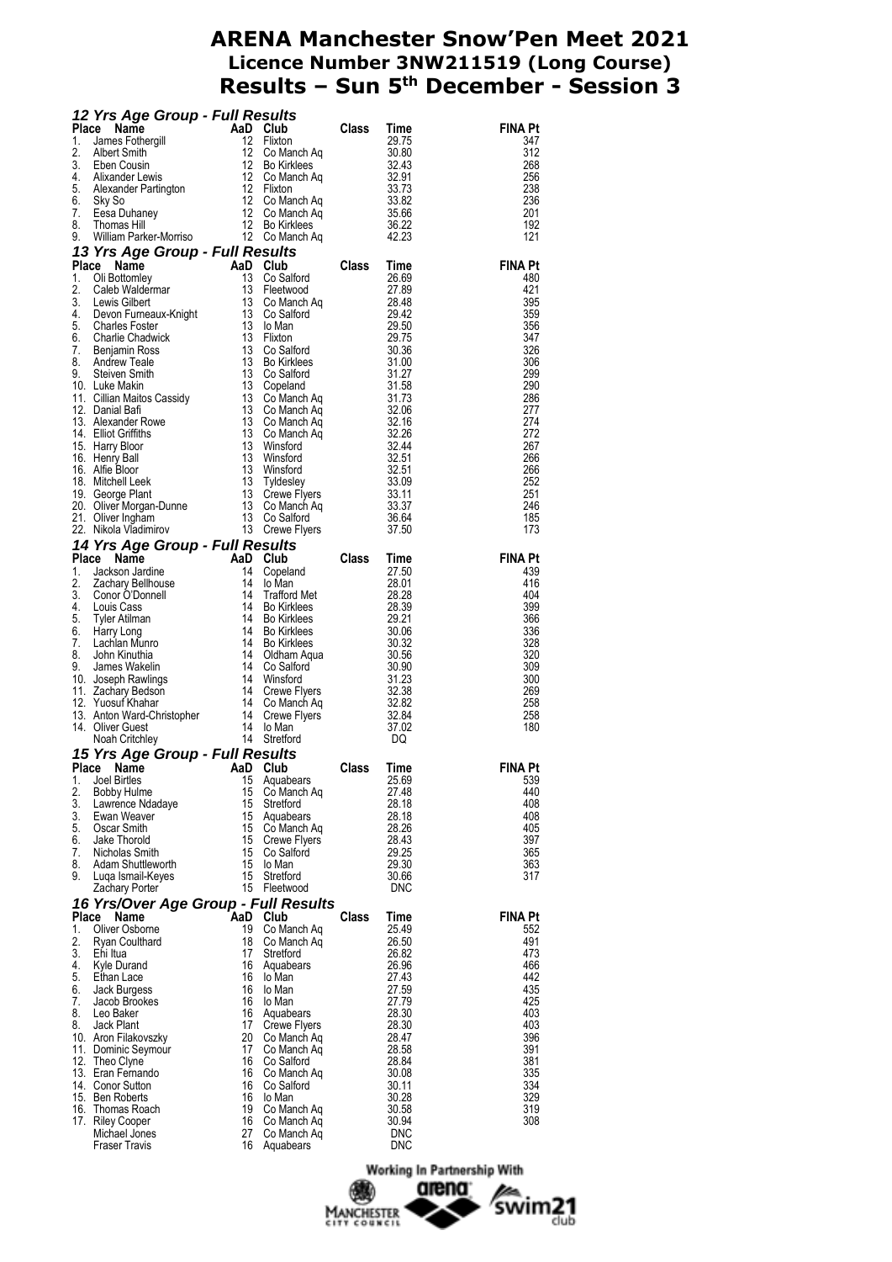|          | <b>12 Yrs Age Group - Full Results</b><br>Place Name AaD Club Class Time<br>1. James Fothergill 12 Flixton 29.75<br>3. Albert Smith<br>3. Eben Cousin 12 Bo Kirkles 30.43<br>4. Alixander Lewis 12 Co Manch Aq 32.91<br>4. Alixander Lewis 12 C               |          |                           |       |                          |                |
|----------|---------------------------------------------------------------------------------------------------------------------------------------------------------------------------------------------------------------------------------------------------------------|----------|---------------------------|-------|--------------------------|----------------|
|          |                                                                                                                                                                                                                                                               |          |                           |       |                          | <b>FINA Pt</b> |
|          |                                                                                                                                                                                                                                                               |          |                           |       |                          | 347<br>312     |
|          |                                                                                                                                                                                                                                                               |          |                           |       |                          | 268            |
|          |                                                                                                                                                                                                                                                               |          |                           |       |                          | 256            |
|          |                                                                                                                                                                                                                                                               |          |                           |       |                          | 238            |
|          |                                                                                                                                                                                                                                                               |          |                           |       |                          | 236            |
|          |                                                                                                                                                                                                                                                               |          |                           |       |                          | 201<br>192     |
|          |                                                                                                                                                                                                                                                               |          |                           |       |                          | 121            |
|          |                                                                                                                                                                                                                                                               |          |                           |       |                          |                |
|          |                                                                                                                                                                                                                                                               |          |                           |       | <b>FINA Pt</b>           |                |
|          |                                                                                                                                                                                                                                                               |          |                           |       |                          | 480            |
|          |                                                                                                                                                                                                                                                               |          |                           |       |                          | 421            |
|          |                                                                                                                                                                                                                                                               |          |                           |       |                          | 395<br>359     |
|          |                                                                                                                                                                                                                                                               |          |                           |       |                          | 356            |
|          |                                                                                                                                                                                                                                                               |          |                           |       |                          | 347            |
|          |                                                                                                                                                                                                                                                               |          |                           |       |                          | 326            |
|          |                                                                                                                                                                                                                                                               |          |                           |       |                          | 306            |
|          |                                                                                                                                                                                                                                                               |          |                           |       |                          | 299<br>290     |
|          |                                                                                                                                                                                                                                                               |          |                           |       |                          | 286            |
|          |                                                                                                                                                                                                                                                               |          |                           |       |                          | 277            |
|          |                                                                                                                                                                                                                                                               |          |                           |       |                          | 274            |
|          |                                                                                                                                                                                                                                                               |          |                           |       |                          | 272            |
|          |                                                                                                                                                                                                                                                               |          |                           |       |                          | 267<br>266     |
|          |                                                                                                                                                                                                                                                               |          |                           |       |                          | 266            |
|          |                                                                                                                                                                                                                                                               |          |                           |       |                          | 252            |
|          |                                                                                                                                                                                                                                                               |          |                           |       |                          | 251            |
|          |                                                                                                                                                                                                                                                               |          |                           |       |                          | 246            |
|          |                                                                                                                                                                                                                                                               |          |                           |       |                          | 185            |
|          |                                                                                                                                                                                                                                                               |          |                           |       |                          | 173            |
|          | 22. Nikola Viadimirov<br><b>14 Yrs Age Group - Full Results</b><br>1 <b>4 Yrs Age Group - Full Results</b><br>1 <b>4 Yrs Age Group - Full Results</b><br>11 Constant 14 Copeland<br>2. Zachary Bellhouse<br>11 Lo Man 28.01<br>3. Conor O'Donnell<br>4. Louis |          |                           |       |                          | <b>FINA Pt</b> |
|          |                                                                                                                                                                                                                                                               |          |                           |       |                          | 439            |
|          |                                                                                                                                                                                                                                                               |          |                           |       |                          | 416            |
|          |                                                                                                                                                                                                                                                               |          |                           |       |                          | 404            |
|          |                                                                                                                                                                                                                                                               |          |                           |       |                          | 399            |
|          |                                                                                                                                                                                                                                                               |          |                           |       |                          | 366            |
|          |                                                                                                                                                                                                                                                               |          |                           |       |                          | 336<br>328     |
|          |                                                                                                                                                                                                                                                               |          |                           |       |                          | 320            |
|          |                                                                                                                                                                                                                                                               |          |                           |       |                          | 309            |
|          |                                                                                                                                                                                                                                                               |          |                           |       |                          | 300            |
|          |                                                                                                                                                                                                                                                               |          |                           |       |                          | 269            |
|          |                                                                                                                                                                                                                                                               |          |                           |       |                          | 258<br>258     |
|          |                                                                                                                                                                                                                                                               |          |                           |       |                          | 180            |
|          |                                                                                                                                                                                                                                                               |          |                           |       |                          |                |
|          |                                                                                                                                                                                                                                                               |          |                           |       |                          |                |
|          |                                                                                                                                                                                                                                                               |          |                           |       |                          | <b>FINA Pt</b> |
|          | 1. Joel Birtles 15 Aquabears                                                                                                                                                                                                                                  |          |                           |       | 25.69                    | 539            |
| 2.<br>3. | <b>Bobby Hulme</b>                                                                                                                                                                                                                                            | 15<br>15 | Co Manch Ag               |       | 27.48                    | 440<br>408     |
| 3.       | Lawrence Ndadaye<br>Ewan Weaver                                                                                                                                                                                                                               | 15       | Stretford<br>Aquabears    |       | 28.18<br>28.18           | 408            |
| 5.       | Oscar Smith                                                                                                                                                                                                                                                   | 15       | Co Manch Ag               |       | 28.26                    | 405            |
| 6.       | Jake Thorold                                                                                                                                                                                                                                                  | 15       | <b>Crewe Flyers</b>       |       | 28.43                    | 397            |
| 7.       | Nicholas Smith                                                                                                                                                                                                                                                | 15       | Co Salford                |       | 29.25                    | 365            |
| 8.<br>9. | Adam Shuttleworth                                                                                                                                                                                                                                             | 15<br>15 | lo Man<br>Stretford       |       | 29.30                    | 363            |
|          | Luga Ismail-Keyes<br>Zachary Porter                                                                                                                                                                                                                           |          | 15 Fleetwood              |       | 30.66<br><b>DNC</b>      | 317            |
|          | 16 Yrs/Over Age Group - Full Results                                                                                                                                                                                                                          |          |                           |       |                          |                |
|          | Place Name                                                                                                                                                                                                                                                    |          | AaD Club                  | Class | Time                     | <b>FINA Pt</b> |
| 1.       | Oliver Osborne                                                                                                                                                                                                                                                | 19       | Co Manch Ag               |       | 25.49                    | 552            |
| 2.       | Ryan Coulthard                                                                                                                                                                                                                                                | 18       | Co Manch Aq               |       | 26.50                    | 491            |
| 3.       | Ehi Itua                                                                                                                                                                                                                                                      | 17       | Stretford                 |       | 26.82                    | 473            |
| 4.       | Kyle Durand                                                                                                                                                                                                                                                   | 16       | Aquabears                 |       | 26.96                    | 466            |
| 5.<br>6. | Ethan Lace                                                                                                                                                                                                                                                    | 16<br>16 | lo Man<br>lo Man          |       | 27.43<br>27.59           | 442<br>435     |
| 7.       | Jack Burgess<br>Jacob Brookes                                                                                                                                                                                                                                 | 16       | lo Man                    |       | 27.79                    | 425            |
| 8.       | Leo Baker                                                                                                                                                                                                                                                     | 16       | Aquabears                 |       | 28.30                    | 403            |
| 8.       | Jack Plant                                                                                                                                                                                                                                                    | 17       | Crewe Flyers              |       | 28.30                    | 403            |
|          | 10. Aron Filakovszky                                                                                                                                                                                                                                          | 20       | Co Manch Ag               |       | 28.47                    | 396            |
|          | 11. Dominic Seymour                                                                                                                                                                                                                                           | 17       | Co Manch Ag               |       | 28.58                    | 391<br>381     |
|          | 12. Theo Clyne<br>13. Eran Fernando                                                                                                                                                                                                                           | 16<br>16 | Co Salford<br>Co Manch Aq |       | 28.84<br>30.08           | 335            |
|          | 14. Conor Sutton                                                                                                                                                                                                                                              | 16       | Co Salford                |       | 30.11                    | 334            |
|          | 15. Ben Roberts                                                                                                                                                                                                                                               | 16       | lo Man                    |       | 30.28                    | 329            |
|          | 16. Thomas Roach                                                                                                                                                                                                                                              | 19       | Co Manch Aq               |       | 30.58                    | 319            |
|          | 17. Riley Cooper                                                                                                                                                                                                                                              | 16<br>27 | Co Manch Ag               |       | 30.94                    | 308            |
|          | Michael Jones<br><b>Fraser Travis</b>                                                                                                                                                                                                                         | 16       | Co Manch Ag<br>Aquabears  |       | <b>DNC</b><br><b>DNC</b> |                |

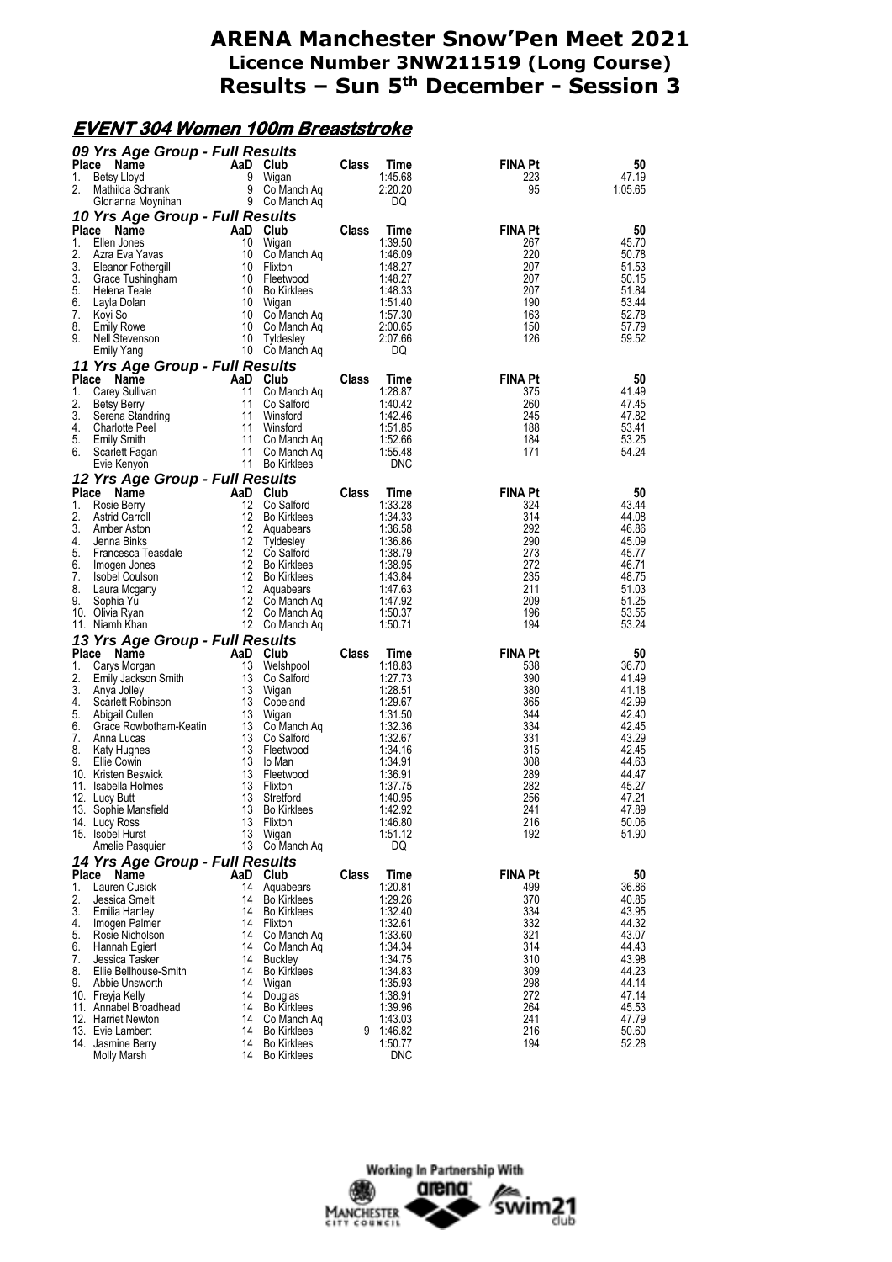#### **EVENT 304 Women 100m Breaststroke**

|          | 09 Yrs Age Group - Full Results             |          |                               |              |                    |                |                |
|----------|---------------------------------------------|----------|-------------------------------|--------------|--------------------|----------------|----------------|
| Place    | Name                                        |          | AaD Club                      | Class        | Time               | <b>FINA Pt</b> | 50             |
| 1.       | Betsy Lloyd                                 | 9<br>9   | Wigan                         |              | 1:45.68            | 223            | 47.19          |
| 2.       | Mathilda Schrank<br>Glorianna Moynihan      |          | Co Manch Ag<br>9 Co Manch Ag  |              | 2:20.20<br>DQ      | 95             | 1:05.65        |
|          | 10 Yrs Age Group - Full Results             |          |                               |              |                    |                |                |
|          | Place Name                                  |          | AaD Club                      | Class        | Time               | <b>FINA Pt</b> | 50             |
| 1.       | Ellen Jones                                 | 10       | Wigan                         |              | 1:39.50            | 267            | 45.70          |
| 2.       | Azra Eva Yavas                              | 10       | Co Manch Ag                   |              | 1:46.09            | 220            | 50.78          |
| 3.       | Eleanor Fothergill                          | 10       | Flixton                       |              | 1:48.27            | 207            | 51.53          |
| 3.       | Grace Tushingham                            |          | 10 Fleetwood                  |              | 1:48.27            | 207            | 50.15          |
| 5.       | Helena Teale                                | 10       | <b>Bo Kirklees</b>            |              | 1:48.33            | 207            | 51.84          |
| 6.<br>7. | Layla Dolan                                 | 10       | Wigan<br>10 Co Manch Aq       |              | 1:51.40<br>1:57.30 | 190<br>163     | 53.44<br>52.78 |
| 8.       | Koyi So<br><b>Emily Rowe</b>                | 10       | Co Manch Aq                   |              | 2:00.65            | 150            | 57.79          |
| 9.       | Nell Stevenson                              | 10       | Tyldesley                     |              | 2:07.66            | 126            | 59.52          |
|          | <b>Emily Yang</b>                           | 10       | Co Manch Aq                   |              | DQ                 |                |                |
|          | 11 Yrs Age Group - Full Results             |          |                               |              |                    |                |                |
| Place    | Name                                        |          | AaD Club                      | <b>Class</b> | Time               | <b>FINA Pt</b> | 50             |
| 1.       | Carey Sullivan                              | 11       | Co Manch Aq                   |              | 1:28.87            | 375            | 41.49          |
| 2.       | Betsy Berry                                 | 11       | Co Salford                    |              | 1:40.42            | 260            | 47.45          |
| 3.       | Serena Standring                            | 11       | Winsford                      |              | 1:42.46            | 245            | 47.82          |
| 4.<br>5. | <b>Charlotte Peel</b><br><b>Emily Smith</b> | 11<br>11 | Winsford<br>Co Manch Ag       |              | 1:51.85<br>1:52.66 | 188<br>184     | 53.41<br>53.25 |
| 6.       | Scarlett Fagan                              | 11       | Co Manch Ag                   |              | 1:55.48            | 171            | 54.24          |
|          | Evie Kenyon                                 |          | 11 Bo Kirklees                |              | <b>DNC</b>         |                |                |
|          | 12 Yrs Age Group - Full Results             |          |                               |              |                    |                |                |
| Place    | Name                                        |          | AaD Club                      | Class        | Time               | <b>FINA Pt</b> | 50             |
| 1.       | Rosie Berry                                 | 12       | Co Salford                    |              | 1:33.28            | 324            | 43.44          |
| 2.       | <b>Astrid Carroll</b>                       | 12       | <b>Bo Kirklees</b>            |              | 1:34.33            | 314            | 44.08          |
| 3.       | Amber Aston                                 |          | 12 Aquabears                  |              | 1:36.58            | 292            | 46.86          |
| 4.<br>5. | Jenna Binks                                 | 12       | Tyldesley<br>12 Co Salford    |              | 1:36.86            | 290            | 45.09<br>45.77 |
| 6.       | Francesca Teasdale<br>Imogen Jones          | 12       | <b>Bo Kirklees</b>            |              | 1:38.79<br>1:38.95 | 273<br>272     | 46.71          |
| 7.       | Isobel Coulson                              |          | 12 Bo Kirklees                |              | 1:43.84            | 235            | 48.75          |
| 8.       | Laura Mcgarty                               |          | 12 Aquabears                  |              | 1:47.63            | 211            | 51.03          |
| 9.       | Sophia Yu                                   |          | 12 Co Manch Aq                |              | 1:47.92            | 209            | 51.25          |
|          | 10. Olivia Ryan                             |          | 12 Co Manch Aq                |              | 1:50.37            | 196            | 53.55          |
|          | 11. Niamh Khan                              |          | 12 Co Manch Aq                |              | 1:50.71            | 194            | 53.24          |
|          | 13 Yrs Age Group - Full Results             |          |                               |              |                    |                |                |
|          | Place Name                                  |          | AaD Club                      | Class        | Time               | <b>FINA Pt</b> | 50<br>36.70    |
| 1.<br>2. | Carys Morgan<br>Emily Jackson Smith         | 13<br>13 | Welshpool<br>Co Salford       |              | 1:18.83<br>1:27.73 | 538<br>390     | 41.49          |
| 3.       | Anya Jolley                                 |          | 13 Wigan                      |              | 1:28.51            | 380            | 41.18          |
| 4.       | Scarlett Robinson                           |          | 13 Copeland                   |              | 1:29.67            | 365            | 42.99          |
| 5.       | Abigail Cullen                              | 13       | Wigan                         |              | 1:31.50            | 344            | 42.40          |
| 6.       | Grace Rowbotham-Keatin                      | 13       | Co Manch Aq                   |              | 1:32.36            | 334            | 42.45          |
| 7.<br>8. | Anna Lucas<br>Katy Hughes                   | 13<br>13 | Co Saltord<br>Fleetwood       |              | 1:32.67<br>1:34.16 | 331<br>315     | 43.29<br>42.45 |
| 9.       | <b>Ellie Cowin</b>                          | 13       | lo Man                        |              | 1:34.91            | 308            | 44.63          |
|          | 10. Kristen Beswick                         | 13       | Fleetwood                     |              | 1:36.91            | 289            | 44.47          |
|          | 11. Isabella Holmes                         | 13       | Flixton                       |              | 1:37.75            | 282            | 45.27          |
|          | 12. Lucy Butt                               | 13       | Stretford                     |              | 1:40.95            | 256            | 47.21          |
|          | 13. Sophie Mansfield                        | 13       | <b>Bo Kirklees</b>            |              | 1:42.92            | 241            | 47.89          |
|          | 14. Lucy Ross<br>15. Isobel Hurst           | 13<br>13 | Flixton                       |              | 1:46.80<br>1:51.12 | 216<br>192     | 50.06<br>51.90 |
|          | Amelie Pasquier                             | 13       | Wigan<br>Co Manch Aq          |              | DQ                 |                |                |
|          | 14 Yrs Age Group - Full Results             |          |                               |              |                    |                |                |
| Place    | Name                                        | AaD      | Club                          | <b>Class</b> | <b>Time</b>        | <b>FINA Pt</b> | 50             |
| 1.       | Lauren Cusick                               | 14       | Aquabears                     |              | 1:20.81            | 499            | 36.86          |
| 2.       | Jessica Smelt                               | 14       | <b>Bo Kirklees</b>            |              | 1:29.26            | 370            | 40.85          |
| 3.       | Emilia Hartley                              | 14       | <b>Bo Kirklees</b>            |              | 1:32.40            | 334            | 43.95          |
| 4.       | Imogen Palmer                               | 14       | Flixton                       |              | 1:32.61            | 332            | 44.32          |
| 5.<br>6. | Rosie Nicholson                             | 14       | Co Manch Aq                   |              | 1:33.60            | 321<br>314     | 43.07<br>44.43 |
| 7.       | Hannah Egiert<br>Jessica Tasker             | 14<br>14 | Co Manch Aq<br><b>Buckley</b> |              | 1:34.34<br>1:34.75 | 310            | 43.98          |
| 8.       | Ellie Bellhouse-Smith                       | 14       | <b>Bo Kirklees</b>            |              | 1:34.83            | 309            | 44.23          |
| 9.       | Abbie Unsworth                              | 14       | Wigan                         |              | 1:35.93            | 298            | 44.14          |
|          | 10. Frevia Kelly                            | 14       | Douglas                       |              | 1:38.91            | 272            | 47.14          |
|          | 11. Annabel Broadhead                       | 14       | <b>Bo Kirklees</b>            |              | 1:39.96            | 264            | 45.53          |
|          | 12. Harriet Newton                          | 14<br>14 | Co Manch Aq                   |              | 1:43.03            | 241            | 47.79          |
|          | 13. Evie Lambert                            |          | <b>Bo Kirklees</b>            | 9            | 1:46.82            | 216            | 50.60          |
|          | 14. Jasmine Berry                           |          | 14 Bo Kirklees                |              | 1:50.77            | 194            | 52.28          |

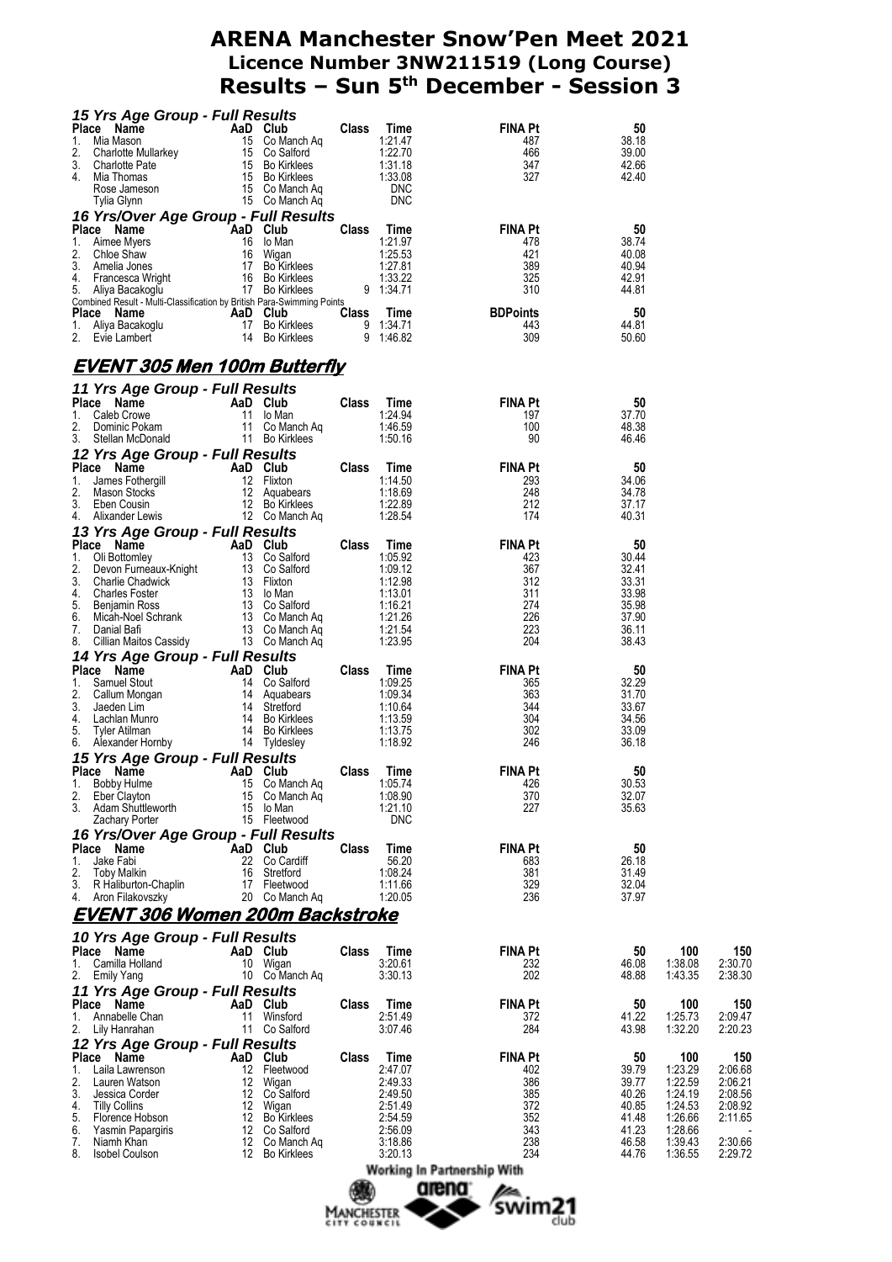| 15 Yrs Age Group - Full Results                                                                                                                                                                                                                                     |    |                            |              |                    |                                                                                                                                                                                                                                                                                                                                                                                                                                                                                      |                |                    |                    |
|---------------------------------------------------------------------------------------------------------------------------------------------------------------------------------------------------------------------------------------------------------------------|----|----------------------------|--------------|--------------------|--------------------------------------------------------------------------------------------------------------------------------------------------------------------------------------------------------------------------------------------------------------------------------------------------------------------------------------------------------------------------------------------------------------------------------------------------------------------------------------|----------------|--------------------|--------------------|
| <b>Place Name Correct Control Class Time</b><br><b>Place Name And Club</b><br>1. Mia Mason 15 Co Nanch Aq<br>1. Charlotte Mullarkey 15 Co Salford 1:22.70<br>3. Charlotte Pate 15 Bo Kirklees 1:31.18<br>4. Mia Thomas 15 Co Manch Aq 1.33.08<br>Ros                |    |                            |              |                    | FINA Pt<br>487                                                                                                                                                                                                                                                                                                                                                                                                                                                                       | 50<br>38.18    |                    |                    |
|                                                                                                                                                                                                                                                                     |    |                            |              |                    |                                                                                                                                                                                                                                                                                                                                                                                                                                                                                      | 39.00          |                    |                    |
|                                                                                                                                                                                                                                                                     |    |                            |              |                    | $\frac{466}{347}$                                                                                                                                                                                                                                                                                                                                                                                                                                                                    | 42.66          |                    |                    |
|                                                                                                                                                                                                                                                                     |    |                            |              |                    | 327 —                                                                                                                                                                                                                                                                                                                                                                                                                                                                                | 42.40          |                    |                    |
|                                                                                                                                                                                                                                                                     |    |                            |              |                    |                                                                                                                                                                                                                                                                                                                                                                                                                                                                                      |                |                    |                    |
| 16 Yrs/Over Age Group - Full Results                                                                                                                                                                                                                                |    |                            |              |                    |                                                                                                                                                                                                                                                                                                                                                                                                                                                                                      |                |                    |                    |
| <b>Place Name Club Class Time</b><br><b>Place News</b><br><b>Aad Club</b> Class Time<br>1. Aimee Myers<br>2. Chloe Shaw<br>1. Chive Shaw<br>1. Aimeia Jones<br>1. Aimeia Jones<br>1. Aimeia Jones<br>1. Aimeia Jones<br>1. Aimeia Jones<br>1. Aimeia Minited Reacti |    |                            |              |                    | Class Time FINA Pt<br>1:21.97 478                                                                                                                                                                                                                                                                                                                                                                                                                                                    | 50             |                    |                    |
|                                                                                                                                                                                                                                                                     |    |                            |              |                    |                                                                                                                                                                                                                                                                                                                                                                                                                                                                                      | 38.74          |                    |                    |
|                                                                                                                                                                                                                                                                     |    |                            |              |                    | $\frac{421}{389}$<br>389<br>325                                                                                                                                                                                                                                                                                                                                                                                                                                                      | 40.08<br>40.94 |                    |                    |
|                                                                                                                                                                                                                                                                     |    |                            |              |                    |                                                                                                                                                                                                                                                                                                                                                                                                                                                                                      | 42.91          |                    |                    |
|                                                                                                                                                                                                                                                                     |    |                            |              |                    | 310                                                                                                                                                                                                                                                                                                                                                                                                                                                                                  | 44.81          |                    |                    |
| Combined Result - Multi-Classification by British Para-Swimming Points                                                                                                                                                                                              |    |                            |              |                    |                                                                                                                                                                                                                                                                                                                                                                                                                                                                                      | 50             |                    |                    |
|                                                                                                                                                                                                                                                                     |    |                            |              |                    | Place Name Harbourge Aar Aar Club (2018)<br>1. Aliya Bacakoglu 17 Bo Kirklees 9 1:34.71 443<br>2. Evie Lambert 14 Bo Kirklees 9 1:46.82 309                                                                                                                                                                                                                                                                                                                                          | 44.81          |                    |                    |
|                                                                                                                                                                                                                                                                     |    |                            |              |                    |                                                                                                                                                                                                                                                                                                                                                                                                                                                                                      | 50.60          |                    |                    |
| <u>EVENT 305 Men 100m Butterfly</u>                                                                                                                                                                                                                                 |    |                            |              |                    |                                                                                                                                                                                                                                                                                                                                                                                                                                                                                      |                |                    |                    |
| 11 Yrs Age Group - Full Results                                                                                                                                                                                                                                     |    |                            |              |                    |                                                                                                                                                                                                                                                                                                                                                                                                                                                                                      |                |                    |                    |
|                                                                                                                                                                                                                                                                     |    |                            |              |                    |                                                                                                                                                                                                                                                                                                                                                                                                                                                                                      | 50             |                    |                    |
|                                                                                                                                                                                                                                                                     |    |                            |              |                    |                                                                                                                                                                                                                                                                                                                                                                                                                                                                                      | 37.70          |                    |                    |
|                                                                                                                                                                                                                                                                     |    |                            |              |                    |                                                                                                                                                                                                                                                                                                                                                                                                                                                                                      | 48.38<br>46.46 |                    |                    |
|                                                                                                                                                                                                                                                                     |    |                            |              |                    |                                                                                                                                                                                                                                                                                                                                                                                                                                                                                      |                |                    |                    |
|                                                                                                                                                                                                                                                                     |    |                            |              |                    |                                                                                                                                                                                                                                                                                                                                                                                                                                                                                      | -50            |                    |                    |
|                                                                                                                                                                                                                                                                     |    |                            |              |                    |                                                                                                                                                                                                                                                                                                                                                                                                                                                                                      | 34.06          |                    |                    |
|                                                                                                                                                                                                                                                                     |    |                            |              |                    |                                                                                                                                                                                                                                                                                                                                                                                                                                                                                      | 34.78          |                    |                    |
|                                                                                                                                                                                                                                                                     |    |                            |              |                    |                                                                                                                                                                                                                                                                                                                                                                                                                                                                                      | 37.17<br>40.31 |                    |                    |
|                                                                                                                                                                                                                                                                     |    |                            |              |                    | 11 Yrs Age Group - Full Results<br>2. Dominic Pokam 11 to Manch Aq<br>1. Caleb Crowe 11 to Manch Aq<br>2. Dominic Pokam 11 Co Manch Aq<br>3. Stellan McDonald 11 Bo Kirklees 1:50.16 90<br>12 Yrs Age Group - Full Results<br>Place Name<br>4. Allixander Lewis 12 Co Manch Aq<br>13 Yrs Age Group - Full Results<br>2. Dietomeley 13 Co Salford 1:05.92 423<br>2. Devon Furneaux-Knight 13 Co Salford 1:05.92 423<br>3. Charlie Chadwick 13 Flixton 1:12.98 312<br>4. Charles Foste |                |                    |                    |
|                                                                                                                                                                                                                                                                     |    |                            |              |                    |                                                                                                                                                                                                                                                                                                                                                                                                                                                                                      | 50             |                    |                    |
|                                                                                                                                                                                                                                                                     |    |                            |              |                    |                                                                                                                                                                                                                                                                                                                                                                                                                                                                                      | 30.44          |                    |                    |
|                                                                                                                                                                                                                                                                     |    |                            |              |                    |                                                                                                                                                                                                                                                                                                                                                                                                                                                                                      | 32.41<br>33.31 |                    |                    |
|                                                                                                                                                                                                                                                                     |    |                            |              |                    |                                                                                                                                                                                                                                                                                                                                                                                                                                                                                      | 33.98          |                    |                    |
|                                                                                                                                                                                                                                                                     |    |                            |              |                    |                                                                                                                                                                                                                                                                                                                                                                                                                                                                                      | 35.98<br>37.90 |                    |                    |
|                                                                                                                                                                                                                                                                     |    |                            |              |                    |                                                                                                                                                                                                                                                                                                                                                                                                                                                                                      | 36.11          |                    |                    |
|                                                                                                                                                                                                                                                                     |    |                            |              |                    |                                                                                                                                                                                                                                                                                                                                                                                                                                                                                      | 38.43          |                    |                    |
| 7. Daniai ball<br>3. Cillian Maitos Cassidy<br><b>14 Yrs Age Group - Full Results</b><br>Place Name AaD Club<br>14 Co Salford<br>2. Callum Mongan<br>3. Jaeden Lim<br>4. Lachlan Munro 14 Bo Kirkless<br>5. Tyler Atilman<br>6. Alexander Homby 14 T                |    |                            |              |                    |                                                                                                                                                                                                                                                                                                                                                                                                                                                                                      |                |                    |                    |
|                                                                                                                                                                                                                                                                     |    |                            |              |                    |                                                                                                                                                                                                                                                                                                                                                                                                                                                                                      | 50<br>32.29    |                    |                    |
|                                                                                                                                                                                                                                                                     |    |                            |              |                    | $365$<br>$363$<br>$344$<br>$304$<br>$302$                                                                                                                                                                                                                                                                                                                                                                                                                                            | 31.70          |                    |                    |
|                                                                                                                                                                                                                                                                     |    |                            |              |                    |                                                                                                                                                                                                                                                                                                                                                                                                                                                                                      | 33.67          |                    |                    |
|                                                                                                                                                                                                                                                                     |    |                            |              |                    |                                                                                                                                                                                                                                                                                                                                                                                                                                                                                      | 34.56          |                    |                    |
|                                                                                                                                                                                                                                                                     |    |                            |              |                    | 302                                                                                                                                                                                                                                                                                                                                                                                                                                                                                  | 33.09<br>36.18 |                    |                    |
|                                                                                                                                                                                                                                                                     |    |                            |              |                    |                                                                                                                                                                                                                                                                                                                                                                                                                                                                                      |                |                    |                    |
|                                                                                                                                                                                                                                                                     |    |                            |              |                    |                                                                                                                                                                                                                                                                                                                                                                                                                                                                                      | 50             |                    |                    |
| 2.<br>Eber Clayton                                                                                                                                                                                                                                                  |    | 15 Co Manch Aq             |              | 1:08.90            | 370                                                                                                                                                                                                                                                                                                                                                                                                                                                                                  | 30.53<br>32.07 |                    |                    |
| 3.<br>Adam Shuttleworth                                                                                                                                                                                                                                             |    | 15 lo Man                  |              | 1:21.10            | 227                                                                                                                                                                                                                                                                                                                                                                                                                                                                                  | 35.63          |                    |                    |
| Zachary Porter                                                                                                                                                                                                                                                      |    | 15 Fleetwood               |              | <b>DNC</b>         |                                                                                                                                                                                                                                                                                                                                                                                                                                                                                      |                |                    |                    |
| 16 Yrs/Over Age Group - Full Results                                                                                                                                                                                                                                |    |                            |              |                    |                                                                                                                                                                                                                                                                                                                                                                                                                                                                                      |                |                    |                    |
| Place Name<br>1.<br>Jake Fabi                                                                                                                                                                                                                                       |    | AaD Club<br>22 Co Cardiff  | <b>Class</b> | Time<br>56.20      | <b>FINA Pt</b>                                                                                                                                                                                                                                                                                                                                                                                                                                                                       | 50<br>26.18    |                    |                    |
| 2.<br><b>Toby Malkin</b>                                                                                                                                                                                                                                            | 16 | Stretford                  |              | 1:08.24            | 683<br>381                                                                                                                                                                                                                                                                                                                                                                                                                                                                           | 31.49          |                    |                    |
| 3.<br>R Haliburton-Chaplin                                                                                                                                                                                                                                          |    | 17 Fleetwood               |              | 1:11.66            | 329                                                                                                                                                                                                                                                                                                                                                                                                                                                                                  | 32.04          |                    |                    |
| 4.<br>Aron Filakovszky                                                                                                                                                                                                                                              |    | 20 Co Manch Aq             |              | 1:20.05            | 236                                                                                                                                                                                                                                                                                                                                                                                                                                                                                  | 37.97          |                    |                    |
| EVENT 306 Women 200m Backstroke                                                                                                                                                                                                                                     |    |                            |              |                    |                                                                                                                                                                                                                                                                                                                                                                                                                                                                                      |                |                    |                    |
| 10 Yrs Age Group - Full Results                                                                                                                                                                                                                                     |    |                            |              |                    |                                                                                                                                                                                                                                                                                                                                                                                                                                                                                      |                |                    |                    |
| Place Name                                                                                                                                                                                                                                                          |    | AaD Club                   | Class        | Time               | <b>FINA Pt</b>                                                                                                                                                                                                                                                                                                                                                                                                                                                                       | 50             | 100                | 150                |
| 1. Camilla Holland                                                                                                                                                                                                                                                  |    | 10 Wigan                   |              | 3:20.61            | 232<br>202                                                                                                                                                                                                                                                                                                                                                                                                                                                                           | 46.08          | 1:38.08<br>1:43.35 | 2:30.70            |
| 2. Emily Yang<br>11 Yrs Age Group - Full Results                                                                                                                                                                                                                    |    | 10 Co Manch Ag             |              | 3:30.13            |                                                                                                                                                                                                                                                                                                                                                                                                                                                                                      | 48.88          |                    | 2:38.30            |
| Place Name                                                                                                                                                                                                                                                          |    | AaD Club                   | <b>Class</b> | Time               | <b>FINA Pt</b>                                                                                                                                                                                                                                                                                                                                                                                                                                                                       | 50             | 100                | 150                |
| 1. Annabelle Chan                                                                                                                                                                                                                                                   | 11 | Winsford                   |              | 2:51.49            | 372                                                                                                                                                                                                                                                                                                                                                                                                                                                                                  | 41.22          | 1:25.73            | 2:09.47            |
| 2. Lily Hanrahan                                                                                                                                                                                                                                                    |    | 11 Co Salford              |              | 3:07.46            | 284                                                                                                                                                                                                                                                                                                                                                                                                                                                                                  | 43.98          | 1:32.20            | 2:20.23            |
| 12 Yrs Age Group - Full Results<br>Place Name                                                                                                                                                                                                                       |    |                            |              |                    |                                                                                                                                                                                                                                                                                                                                                                                                                                                                                      | 50             |                    |                    |
| 1.<br>Laila Lawrenson                                                                                                                                                                                                                                               |    | AaD Club<br>12 Fleetwood   | Class        | Time<br>2:47.07    | <b>FINA Pt</b><br>402                                                                                                                                                                                                                                                                                                                                                                                                                                                                | 39.79          | 100<br>1:23.29     | 150<br>2:06.68     |
| 2.<br>Lauren Watson                                                                                                                                                                                                                                                 |    | 12 Wigan                   |              | 2:49.33            | 386                                                                                                                                                                                                                                                                                                                                                                                                                                                                                  | 39.77          | 1:22.59            | 2:06.21            |
| 3.<br>Jessica Corder                                                                                                                                                                                                                                                |    | 12 Co Salford              |              | 2:49.50            | 385                                                                                                                                                                                                                                                                                                                                                                                                                                                                                  | 40.26          | 1:24.19            | 2:08.56            |
| 4.<br><b>Tilly Collins</b><br>5.<br>Florence Hobson                                                                                                                                                                                                                 |    | 12 Wigan<br>12 Bo Kirklees |              | 2:51.49<br>2:54.59 | 372<br>352                                                                                                                                                                                                                                                                                                                                                                                                                                                                           | 40.85<br>41.48 | 1:24.53<br>1:26.66 | 2:08.92<br>2:11.65 |
| 6.<br>Yasmin Papargiris                                                                                                                                                                                                                                             |    | 12 Co Salford              |              | 2:56.09            | 343                                                                                                                                                                                                                                                                                                                                                                                                                                                                                  | 41.23          | 1:28.66            |                    |
| 7.<br>Niamh Khan                                                                                                                                                                                                                                                    |    | 12 Co Manch Ag             |              | 3:18.86            | 238                                                                                                                                                                                                                                                                                                                                                                                                                                                                                  | 46.58          | 1:39.43            | 2:30.66            |
| 8.<br><b>Isobel Coulson</b>                                                                                                                                                                                                                                         |    | 12 Bo Kirklees             |              | 3:20.13            | 234                                                                                                                                                                                                                                                                                                                                                                                                                                                                                  | 44.76          | 1:36.55            | 2:29.72            |
|                                                                                                                                                                                                                                                                     |    |                            |              |                    | Working In Partnership With                                                                                                                                                                                                                                                                                                                                                                                                                                                          |                |                    |                    |
|                                                                                                                                                                                                                                                                     |    |                            |              |                    | arena <sup>.</sup>                                                                                                                                                                                                                                                                                                                                                                                                                                                                   |                |                    |                    |

MANCHESTER SWIM21